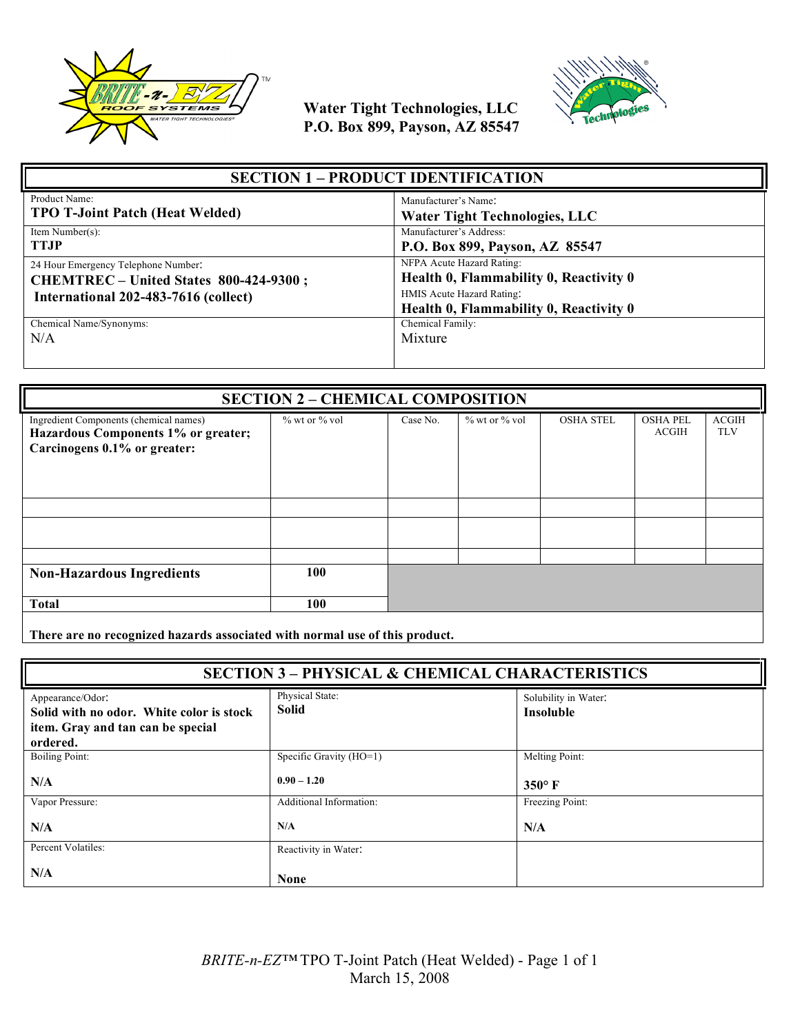



| <b>SECTION 1 - PRODUCT IDENTIFICATION</b>                                                                             |                                                                                                                                            |  |
|-----------------------------------------------------------------------------------------------------------------------|--------------------------------------------------------------------------------------------------------------------------------------------|--|
| Product Name:                                                                                                         | Manufacturer's Name:                                                                                                                       |  |
| <b>TPO T-Joint Patch (Heat Welded)</b>                                                                                | <b>Water Tight Technologies, LLC</b>                                                                                                       |  |
| Item Number(s):                                                                                                       | Manufacturer's Address:                                                                                                                    |  |
| <b>TTJP</b>                                                                                                           | P.O. Box 899, Payson, AZ 85547                                                                                                             |  |
| 24 Hour Emergency Telephone Number:<br>CHEMTREC - United States 800-424-9300;<br>International 202-483-7616 (collect) | NFPA Acute Hazard Rating:<br>Health 0, Flammability 0, Reactivity 0<br>HMIS Acute Hazard Rating:<br>Health 0, Flammability 0, Reactivity 0 |  |
| Chemical Name/Synonyms:                                                                                               | Chemical Family:                                                                                                                           |  |
| N/A                                                                                                                   | Mixture                                                                                                                                    |  |

| <b>SECTION 2 - CHEMICAL COMPOSITION</b>                                                                       |               |          |                     |                  |                                 |                            |
|---------------------------------------------------------------------------------------------------------------|---------------|----------|---------------------|------------------|---------------------------------|----------------------------|
| Ingredient Components (chemical names)<br>Hazardous Components 1% or greater;<br>Carcinogens 0.1% or greater: | % wt or % vol | Case No. | $\%$ wt or $\%$ vol | <b>OSHA STEL</b> | <b>OSHA PEL</b><br><b>ACGIH</b> | <b>ACGIH</b><br><b>TLV</b> |
|                                                                                                               |               |          |                     |                  |                                 |                            |
|                                                                                                               |               |          |                     |                  |                                 |                            |
|                                                                                                               |               |          |                     |                  |                                 |                            |
| <b>Non-Hazardous Ingredients</b>                                                                              | 100           |          |                     |                  |                                 |                            |
| <b>Total</b>                                                                                                  | 100           |          |                     |                  |                                 |                            |
|                                                                                                               |               |          |                     |                  |                                 |                            |

**There are no recognized hazards associated with normal use of this product.**

| <b>SECTION 3 - PHYSICAL &amp; CHEMICAL CHARACTERISTICS</b>                                                    |                                 |                                          |
|---------------------------------------------------------------------------------------------------------------|---------------------------------|------------------------------------------|
| Appearance/Odor:<br>Solid with no odor. White color is stock<br>item. Gray and tan can be special<br>ordered. | Physical State:<br><b>Solid</b> | Solubility in Water:<br><b>Insoluble</b> |
| Boiling Point:                                                                                                | Specific Gravity (HO=1)         | Melting Point:                           |
| N/A                                                                                                           | $0.90 - 1.20$                   | $350^\circ$ F                            |
| Vapor Pressure:                                                                                               | Additional Information:         | Freezing Point:                          |
| N/A                                                                                                           | N/A                             | N/A                                      |
| Percent Volatiles:                                                                                            | Reactivity in Water:            |                                          |
| N/A                                                                                                           | <b>None</b>                     |                                          |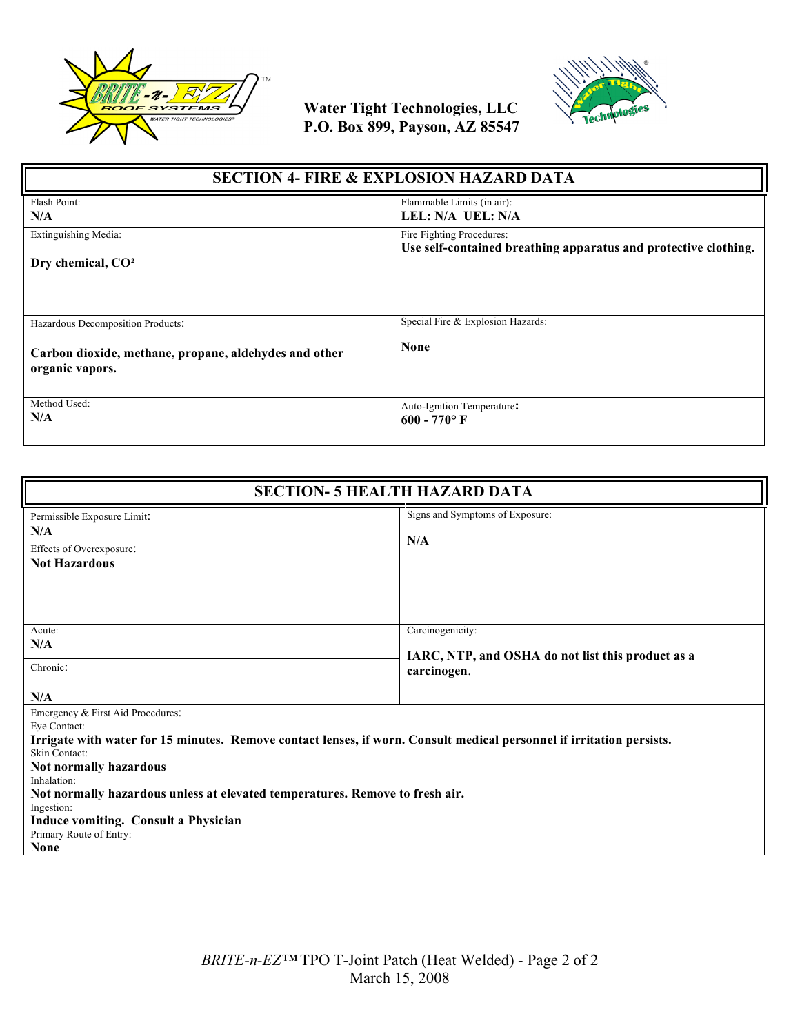



| <b>SECTION 4- FIRE &amp; EXPLOSION HAZARD DATA</b>                                                            |                                                                 |  |
|---------------------------------------------------------------------------------------------------------------|-----------------------------------------------------------------|--|
| Flash Point:                                                                                                  | Flammable Limits (in air):                                      |  |
| N/A                                                                                                           | LEL: N/A UEL: N/A                                               |  |
| Extinguishing Media:                                                                                          | Fire Fighting Procedures:                                       |  |
| Dry chemical, CO <sup>2</sup>                                                                                 | Use self-contained breathing apparatus and protective clothing. |  |
| Hazardous Decomposition Products:<br>Carbon dioxide, methane, propane, aldehydes and other<br>organic vapors. | Special Fire & Explosion Hazards:<br><b>None</b>                |  |
| Method Used:                                                                                                  | Auto-Ignition Temperature:                                      |  |
| N/A                                                                                                           | $600 - 770$ °F                                                  |  |

| <b>SECTION- 5 HEALTH HAZARD DATA</b>                                                                                                                                                                                                                                                                                                                                                                                 |                                                                                      |  |
|----------------------------------------------------------------------------------------------------------------------------------------------------------------------------------------------------------------------------------------------------------------------------------------------------------------------------------------------------------------------------------------------------------------------|--------------------------------------------------------------------------------------|--|
| Permissible Exposure Limit:<br>N/A<br>Effects of Overexposure:<br><b>Not Hazardous</b>                                                                                                                                                                                                                                                                                                                               | Signs and Symptoms of Exposure:<br>N/A                                               |  |
| Acute:<br>N/A<br>Chronic:<br>N/A                                                                                                                                                                                                                                                                                                                                                                                     | Carcinogenicity:<br>IARC, NTP, and OSHA do not list this product as a<br>carcinogen. |  |
| Emergency & First Aid Procedures:<br>Eye Contact:<br>Irrigate with water for 15 minutes. Remove contact lenses, if worn. Consult medical personnel if irritation persists.<br>Skin Contact:<br>Not normally hazardous<br>Inhalation:<br>Not normally hazardous unless at elevated temperatures. Remove to fresh air.<br>Ingestion:<br>Induce vomiting. Consult a Physician<br>Primary Route of Entry:<br><b>None</b> |                                                                                      |  |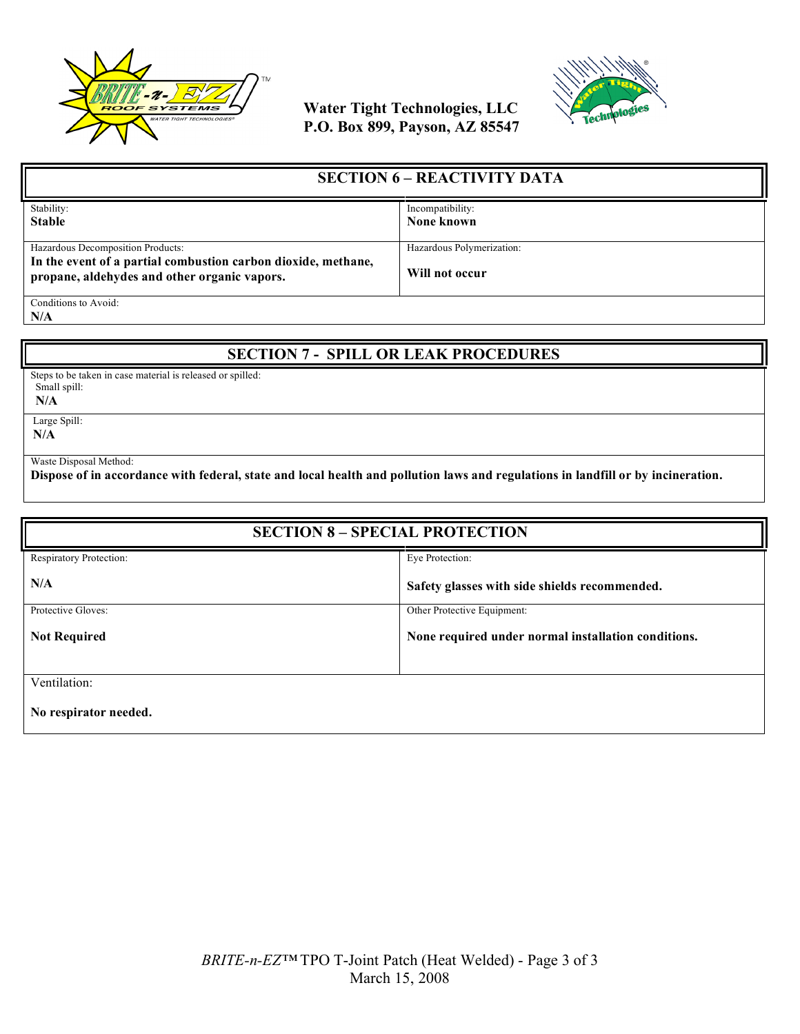



| <b>SECTION 6 – REACTIVITY DATA</b>                                                                                                                 |                                             |
|----------------------------------------------------------------------------------------------------------------------------------------------------|---------------------------------------------|
| Stability:<br><b>Stable</b>                                                                                                                        | Incompatibility:<br>None known              |
| Hazardous Decomposition Products:<br>In the event of a partial combustion carbon dioxide, methane,<br>propane, aldehydes and other organic vapors. | Hazardous Polymerization:<br>Will not occur |
| Conditions to Avoid:                                                                                                                               |                                             |

**N/A**

### **SECTION 7 - SPILL OR LEAK PROCEDURES**

Steps to be taken in case material is released or spilled: Small spill:

 **N/A**

 Large Spill: **N/A**

Waste Disposal Method:

**Dispose of in accordance with federal, state and local health and pollution laws and regulations in landfill or by incineration.**

| <b>SECTION 8 - SPECIAL PROTECTION</b> |                                                     |  |
|---------------------------------------|-----------------------------------------------------|--|
| Respiratory Protection:               | Eye Protection:                                     |  |
| N/A                                   | Safety glasses with side shields recommended.       |  |
| Protective Gloves:                    | Other Protective Equipment:                         |  |
| <b>Not Required</b>                   | None required under normal installation conditions. |  |
|                                       |                                                     |  |
| Ventilation:                          |                                                     |  |
| No respirator needed.                 |                                                     |  |